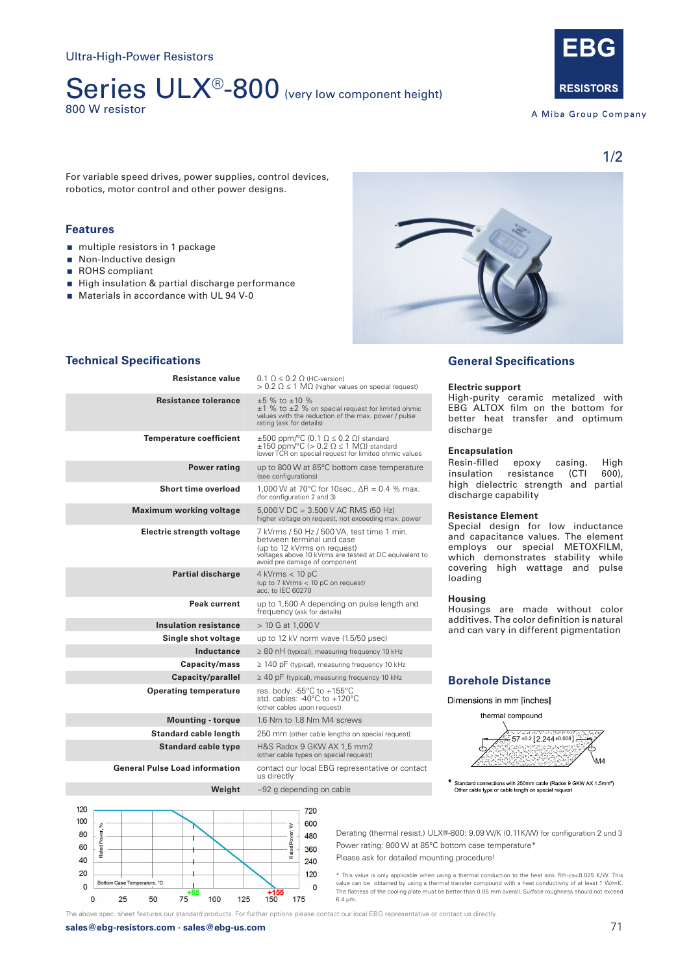# Series ULX<sup>®</sup>-800 (very low component height) 800 W resistor

**RESISTORS** 

A Miba Group Company

For variable speed drives, power supplies, control devices, robotics, motor control and other power designs.

## **Features 1x 800 W operating powers and 2x 300 W operating powers and 2x 300 W operating powers and 2x 150 W operating powers and 2x 300 W operating powers and 2x 300 W operating powers and 3x 150 W operating powers and**

- nultiple resistors in 1 package
- Non-Inductive design
- ROHS compliant
- High insulation & partial discharge performance
- $\blacksquare$  Materials in accordance with UL 94 V-0



# **Technical Specifications**

| Resistance value                      | $0.1 \Omega \leq 0.2 \Omega$ (HC-version)<br>$> 0.2$ $\Omega \leq 1$ M $\Omega$ (higher values on special request)                                                                                |  |
|---------------------------------------|---------------------------------------------------------------------------------------------------------------------------------------------------------------------------------------------------|--|
| <b>Resistance tolerance</b>           | $\pm 5$ % to $\pm 10$ %<br>$\pm 1$ % to $\pm 2$ % on special request for limited ohmic<br>values with the reduction of the max. power / pulse<br>rating (ask for details)                         |  |
| <b>Temperature coefficient</b>        | $\pm 500$ ppm/°C (0.1 $\Omega \le 0.2$ $\Omega$ ) standard<br>$\pm 150$ ppm/°C (> 0.2 $\Omega \le 1$ M $\Omega$ ) standard<br>lower TCR on special request for limited ohmic values               |  |
| <b>Power rating</b>                   | up to 800 W at 85°C bottom case temperature<br>(see configurations)                                                                                                                               |  |
| Short time overload                   | 1,000 W at 70°C for 10sec., $\Delta R = 0.4$ % max.<br>(for configuration 2 and 3)                                                                                                                |  |
| <b>Maximum working voltage</b>        | $5,000$ V DC = 3.500 V AC RMS (50 Hz)<br>higher voltage on request, not exceeding max. power                                                                                                      |  |
| Electric strength voltage             | 7 kVrms / 50 Hz / 500 VA, test time 1 min.<br>between terminal und case<br>(up to 12 kVrms on request)<br>voltages above 10 kVrms are tested at DC equivalent to<br>avoid pre damage of component |  |
| <b>Partial discharge</b>              | $4$ kVrms $<$ 10 pC<br>(up to 7 kVrms < 10 pC on request)<br>acc. to IEC 60270                                                                                                                    |  |
| Peak current                          | up to 1,500 A depending on pulse length and<br>frequency (ask for details)                                                                                                                        |  |
| <b>Insulation resistance</b>          | $> 10$ G at 1,000 V                                                                                                                                                                               |  |
| Single shot voltage                   | up to 12 kV norm wave (1.5/50 usec)                                                                                                                                                               |  |
| Inductance                            | $\geq$ 80 nH (typical), measuring frequency 10 kHz                                                                                                                                                |  |
| Capacity/mass                         | $\geq$ 140 pF (typical), measuring frequency 10 kHz                                                                                                                                               |  |
| Capacity/parallel                     | $\geq$ 40 pF (typical), measuring frequency 10 kHz                                                                                                                                                |  |
| <b>Operating temperature</b>          | res. body: -55°C to +155°C<br>std. cables: -40 $^{\circ}$ C to +120 $^{\circ}$ C<br>(other cables upon request)                                                                                   |  |
| <b>Mounting - torque</b>              | 1.6 Nm to 1.8 Nm M4 screws                                                                                                                                                                        |  |
| Standard cable length                 | 250 mm (other cable lengths on special request)                                                                                                                                                   |  |
| <b>Standard cable type</b>            | H&S Radox 9 GKW AX 1,5 mm2<br>(other cable types on special request)                                                                                                                              |  |
| <b>General Pulse Load information</b> | contact our local EBG representative or contact<br>us directly                                                                                                                                    |  |
| Weight                                | $\sim$ 92 g depending on cable                                                                                                                                                                    |  |

# **General Specifications**

#### **Electric support**

High-purity ceramic metalized with EBG ALTOX film on the bottom for better heat transfer and optimum discharge

#### **Encapsulation**

Resin-filled epoxy casing. High<br>insulation resistance (CTI 600), resistance (CTI high dielectric strength and partial mgn dictedule strength and parti-<br>discharge capability

#### **Resistance Element**

Special design for low inductance and capacitance values. The element employs our special METOXFILM, which demonstrates stability while ment at the covering high wattage and pulse loading

#### **Housing**

Housings are made without color additives. The color definition is natural and can vary in different pigmentation

#### **Borehole Distance Borehole Distance**

thermal compound



Standard connections with 250mm cable (Radox 9 GKW AX 1.5mm<sup>2</sup>)<br>Other cable type or cable length on special request

Derating (thermal resist.) ULX®-800: 9.09 W/K (0.11K/W) for configuration 2 und 3 Power rating: 800 W at 85°C bottom case temperature\*

Please ask for detailed mounting procedure!

\* This value is only applicable when using a thermal conduction to the heat sink Rth-cs<0.025 K/W. This value can be obtained by using a thermal transfer compound with a heat conductivity of at least 1 W/mK. The above spec. sheet features our standard products. For further options please contact our local EBG representative or contact us directly. The flatness of the cooling plate must be better than 0.05 mm overall. Surface roughness should not exceed 6.4 μm. **20 25 50 75 100 125 150 175 6.4**  $\mu$ m.

The above spec. sheet features our standard products. For further options please contact our local EBG representative or contact us directly.

**Division** 360

720

 $600$  $\geq$ 

480

240

120

**sales@ebg-resistors.com · sales@ebg-us.com** 71

120

100

80

60

40

20